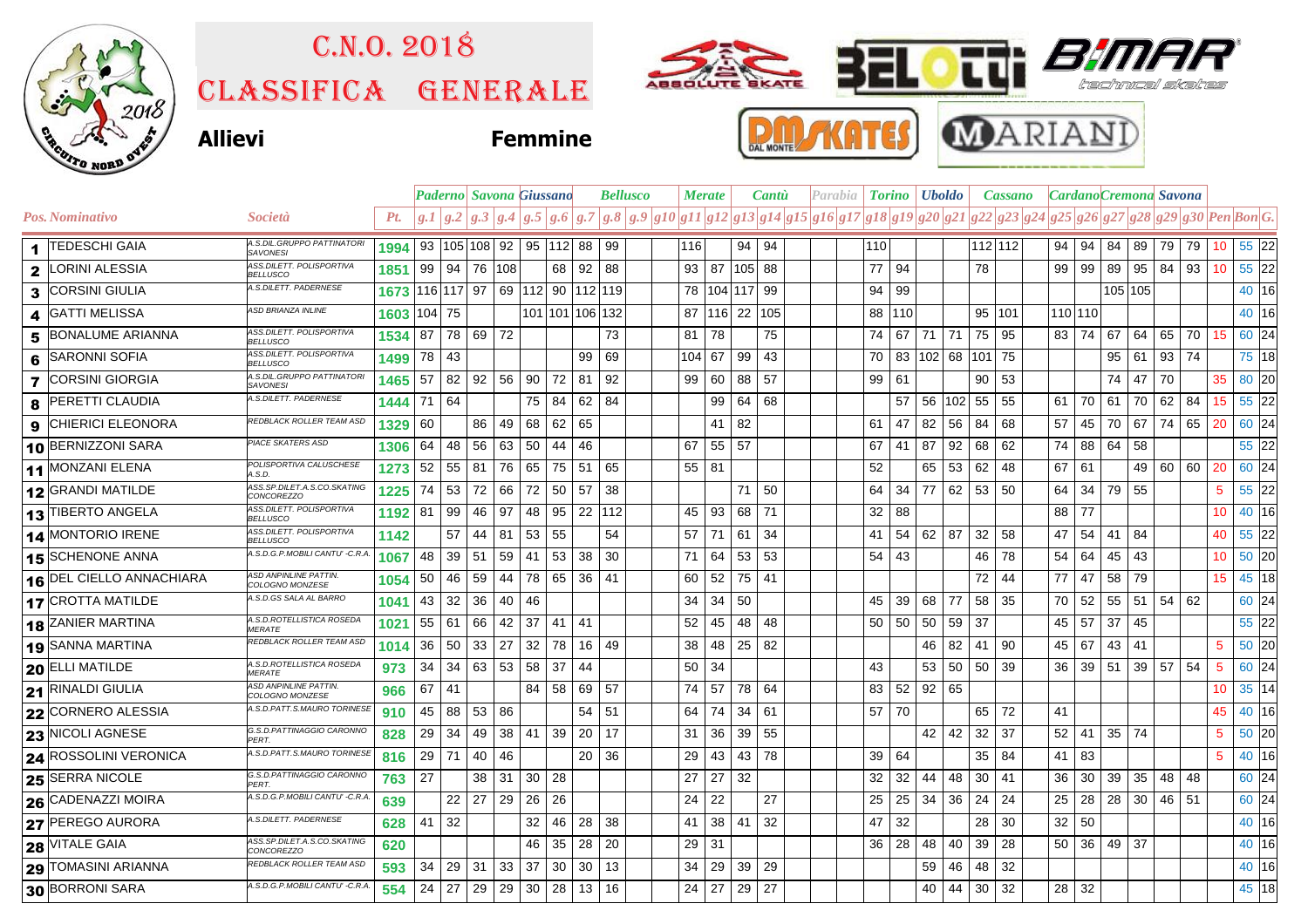

## Classifica generale C.n.o. 2018





## **Allievi Femmine**





|                                 |                                                  |      |                 |     |                     | Paderno  Savona Giussano                   |                       |                 |       | <b>Bellusco</b> |     | <b>Merate</b> |                   | <b>Cantù</b> | Parabia                                                                |                 |          | <b>Torino</b>   <b>Uboldo</b> |    | <b>Cassano</b> |    |                 |     |              |              | Cardano Cremona Savona |                                         |                 |         |  |
|---------------------------------|--------------------------------------------------|------|-----------------|-----|---------------------|--------------------------------------------|-----------------------|-----------------|-------|-----------------|-----|---------------|-------------------|--------------|------------------------------------------------------------------------|-----------------|----------|-------------------------------|----|----------------|----|-----------------|-----|--------------|--------------|------------------------|-----------------------------------------|-----------------|---------|--|
| Pos. Nominativo                 | <i>Società</i>                                   | Pt.  |                 |     |                     | g.1 g.2 g.3 g.4 g.5 g.6 g.7                |                       |                 |       |                 |     |               |                   |              | $ g.8 g.9 g10 g11 g12 g13 g14 g15 g16 g17 g18 g19 g20 g21 g22 g23 g24$ |                 |          |                               |    |                |    |                 |     |              |              |                        | $ g25 g26 g27 g28 g29 g30 Pen\, Bon G.$ |                 |         |  |
| 1 TEDESCHI GAIA                 | A.S.DIL.GRUPPO PATTINATORI<br><b>SAVONESI</b>    | 1994 |                 |     | 93   105   108   92 |                                            | 95 112 88             |                 |       | 99              | 116 |               |                   | 94   94      |                                                                        | 110             |          |                               |    | 112 112        |    | $94 \mid$       | 94  |              | 84 89 79     |                        | 79 10 55 22                             |                 |         |  |
| LORINI ALESSIA<br>$\mathbf{2}$  | ASS.DILETT. POLISPORTIVA<br><b>BELLUSCO</b>      | 1851 | 99   94         |     | 76 108              |                                            |                       | 68 92           |       | 88              | 93  |               | 87 105 88         |              |                                                                        | 77              | 94       |                               |    | 78             |    | 99              | 99  | 89           | 95   84      |                        | 93 10                                   |                 | 55 22   |  |
| <b>CORSINI GIULIA</b><br>3      | A.S.DILETT. PADERNESE                            | 1673 |                 |     |                     | 116   117   97   69   112   90   112   119 |                       |                 |       |                 | 78  |               | 104 117 99        |              |                                                                        |                 | 94   99  |                               |    |                |    |                 |     |              | 105 105      |                        |                                         |                 | 40 16   |  |
| <b>GATTI MELISSA</b><br>4       | ASD BRIANZA INLINE                               | 1603 | 104 75          |     |                     |                                            | 101   101   106   132 |                 |       |                 | 87  |               | 116 22 105        |              |                                                                        |                 | 88   110 |                               |    | 95 101         |    | 110 110         |     |              |              |                        |                                         |                 | 40 16   |  |
| <b>BONALUME ARIANNA</b><br>5    | ASS.DILETT. POLISPORTIVA<br><b>BELLUSCO</b>      | 1534 | 87 78           |     | 69 72               |                                            |                       |                 |       | 73              | 81  | 78            |                   | 75           |                                                                        |                 | 74 67 71 |                               | 71 | 75             | 95 | 83 74           |     | 67           | 64           | 65                     | 70 15                                   |                 | 60 24   |  |
| <b>SARONNI SOFIA</b><br>6       | ASS.DILETT. POLISPORTIVA<br><b>BELLUSCO</b>      | 1499 | 78   43         |     |                     |                                            |                       |                 | 99    | 69              | 104 | 67            |                   | $99 \mid 43$ |                                                                        |                 |          | 70 83 102 68                  |    | 101 75         |    |                 |     |              | 95   61      | 93                     | 74                                      |                 | 75 18   |  |
| <b>7 CORSINI GIORGIA</b>        | A.S.DIL.GRUPPO PATTINATORI<br><b>SAVONESI</b>    | 1465 | 57              | 82  |                     | $92 \mid 56$                               | 90                    | 72 81           |       | 92              | 99  | 60            |                   | 88 57        |                                                                        | 99   61         |          |                               |    | 90             | 53 |                 |     | 74           | 47           | 70                     |                                         | 35              | 80 20   |  |
| <b>PERETTI CLAUDIA</b><br>8     | A.S.DILETT. PADERNESE                            | 1444 | 71   64         |     |                     |                                            | 75                    | 84              | 62    | -84             |     | 99            |                   | 64   68      |                                                                        |                 | 57       | 56   102   55                 |    |                | 55 | 61 I            | 70  |              | 61 70        | 62                     | 84 15                                   |                 | 55 22   |  |
| <b>CHIERICI ELEONORA</b><br>9   | REDBLACK ROLLER TEAM ASD                         | 1329 | 60              |     | 86                  | 49                                         | 68                    | 62              | 65    |                 |     | 41            | 82                |              |                                                                        | 61              | 47       | 82                            | 56 | 84             | 68 | 57              | 45  | 70           | 67           | 74                     | 65                                      | <b>20</b>       | 60 24   |  |
| 10 BERNIZZONI SARA              | PIACE SKATERS ASD                                | 1306 | 64 l            | 48  | 56                  | 63                                         | 50                    | 44              | 46    |                 | 67  |               | 55 57             |              |                                                                        | 67              | -41      | 87                            | 92 | 68             | 62 | 74 I            | 88  | 64 58        |              |                        |                                         |                 | 55 22   |  |
| 11 MONZANI ELENA                | POLISPORTIVA CALUSCHESE<br>A.S.D                 | 1273 | $52$ 55         |     | 81                  | 76                                         | 65                    | 75              | 51 65 |                 | 55  | -81           |                   |              |                                                                        | 52              |          | 65                            | 53 | 62             | 48 | 67              | -61 |              | 49 60        |                        | 60 20                                   |                 | 60 24   |  |
| 12 GRANDI MATILDE               | ASS.SP.DILET.A.S.CO.SKATING<br><b>CONCOREZZO</b> | 1225 | 74              | -53 | 72                  | 66                                         | 72                    | 50 57           |       | 38              |     |               |                   | 71   50      |                                                                        | 64              | 34       | 77                            | 62 | 53             | 50 | 64              | 34  |              | 79 55        |                        |                                         | 5               | $55$ 22 |  |
| 13 TIBERTO ANGELA               | ASS.DILETT. POLISPORTIVA<br><b>BELLUSCO</b>      | 1192 | 81              | 99  | 46                  | 97                                         | 48                    | $95$   22   112 |       |                 | 45  | 93            |                   | 68 71        |                                                                        | 32              | 88       |                               |    |                |    | 88 77           |     |              |              |                        |                                         | 10              | 40 16   |  |
| 14 MONTORIO IRENE               | ASS.DILETT. POLISPORTIVA<br><b>BELLUSCO</b>      | 1142 |                 | 57  | 44                  | 81                                         | 53                    | 55              |       | 54              | 57  | 71            |                   | 61 34        |                                                                        | 41              | 54       | 62                            | 87 | 32             | 58 | 47              | 54  | $41 \mid 84$ |              |                        |                                         | 40              | 55 22   |  |
| 15 SCHENONE ANNA                | A.S.D.G.P.MOBILI CANTU' -C.R.A                   | 1067 | 48              | 39  | 51                  | 59                                         | 41                    | 53              | 38    | 30              | 71  | 64            |                   | $53$ 53      |                                                                        | $54$ 43         |          |                               |    | 46             | 78 | 54              | 64  | 45           | 43           |                        |                                         | 10 <sup>°</sup> | 50 20   |  |
| <b>16 DEL CIELLO ANNACHIARA</b> | ASD ANPINLINE PATTIN.<br>COLOGNO MONZESE         | 1054 | 50 <sup>1</sup> | 46  | 59                  | 44                                         | 78                    | 65 36 41        |       |                 | 60  | 52            |                   | 75 41        |                                                                        |                 |          |                               |    | 72             | 44 | 77              | 47  |              | 58 79        |                        |                                         | 15 <sup>2</sup> | 45 18   |  |
| <b>17 CROTTA MATILDE</b>        | A.S.D.GS SALA AL BARRO                           | 1041 | 43 <sup>1</sup> | 32  | 36                  | 40                                         | 46                    |                 |       |                 | 34  | 34            | 50                |              |                                                                        | 45              | 39       | 68                            | 77 | 58             | 35 | 70 I            | 52  |              | $55$   51    | 54                     | 62                                      |                 | 60 24   |  |
| <b>18 ZANIER MARTINA</b>        | A.S.D.ROTELLISTICA ROSEDA<br><b>MERATE</b>       | 1021 | 55 61           |     | 66                  | 42                                         | 37                    | 41              | 41    |                 | 52  | 45            | 48                | 48           |                                                                        |                 | 50 50    | 50                            | 59 | 37             |    | 45              | -57 | 37           | 45           |                        |                                         |                 | $55$ 22 |  |
| 19 SANNA MARTINA                | REDBLACK ROLLER TEAM ASD                         | 1014 | 36 <sup>1</sup> | 50  | 33                  | 27                                         | 32                    | 78              | 16    | 49              | 38  | 48            |                   | 25 82        |                                                                        |                 |          | 46                            | 82 | 41             | 90 | 45              | 67  | 43           | 41           |                        |                                         | 5               | $50$ 20 |  |
| 20 ELLI MATILDE                 | A.S.D.ROTELLISTICA ROSEDA<br><b>MERATE</b>       | 973  | 34              | 34  | 63 53               |                                            | 58                    | 37              | 44    |                 | 50  | 34            |                   |              |                                                                        | 43              |          | 53                            | 50 | 50             | 39 | 36              | 39  |              | 51 39 57     |                        | 54                                      | $5\phantom{.0}$ | 60 24   |  |
| 21 RINALDI GIULIA               | ASD ANPINLINE PATTIN.<br>COLOGNO MONZESE         | 966  | $67$   41       |     |                     |                                            | 84                    | 58              | 69    | 57              | 74  | 57            |                   | 78 64        |                                                                        | 83              | 52       | 92                            | 65 |                |    |                 |     |              |              |                        |                                         | 10 <sup>°</sup> | 35 14   |  |
| 22 CORNERO ALESSIA              | A.S.D.PATT.S.MAURO TORINESE                      | 910  | 45 88           |     | 53                  | 86                                         |                       |                 | 54    | 51              | 64  | 74            |                   | 34   61      |                                                                        | 57              | 70       |                               |    | 65             | 72 | 41              |     |              |              |                        |                                         | 45              | 40 16   |  |
| 23 NICOLI AGNESE                | G.S.D.PATTINAGGIO CARONNO<br>PFRT.               | 828  | 29              | -34 | 49                  | 38                                         | 41                    | 39 20           |       | 17              | 31  | 36            | 39                | 55           |                                                                        |                 |          | 42                            | 42 | 32             | 37 | 52              | 41  | 35 74        |              |                        |                                         | 5               | 50 20   |  |
| 24 ROSSOLINI VERONICA           | A.S.D.PATT.S.MAURO TORINESE                      | 816  | 29 71           |     | 40                  | 46                                         |                       |                 | 20    | 36              | 29  | 43            |                   | 43 78        |                                                                        | 39 <sub>1</sub> | 64       |                               |    | 35             | 84 | 41              | 83  |              |              |                        |                                         | 5               | 40 16   |  |
| 25 SERRA NICOLE                 | G.S.D.PATTINAGGIO CARONNO<br>PFRT                | 763  | 27              |     | 38                  | 31                                         | 30                    | -28             |       |                 | 27  | 27            | 32                |              |                                                                        | 32              | 32       | 44                            | 48 | 30             | 41 | 36              | 30  | 39           | 35           | 48                     | -48                                     |                 | 60 24   |  |
| 26 CADENAZZI MOIRA              | A.S.D.G.P.MOBILI CANTU' -C.R.A                   | 639  |                 | 22  | 27                  | 29                                         | 26                    | 26              |       |                 | 24  | 22            |                   | 27           |                                                                        | 25              | 25       | 34                            | 36 | 24             | 24 | 25              | 28  |              | $28 \mid 30$ | 46                     | 51                                      |                 | 60 24   |  |
| 27 PEREGO AURORA                | A.S.DILETT. PADERNESE                            | 628  | $41 \mid 32$    |     |                     |                                            | 32                    | 46 28           |       | 38              | 41  |               | $38 \mid 41 \mid$ | 32           |                                                                        | 47              | 32       |                               |    | 28             | 30 | 32 <sup>2</sup> | 50  |              |              |                        |                                         |                 | 40 16   |  |
| 28 VITALE GAIA                  | ASS.SP.DILET.A.S.CO.SKATING<br><i>CONCOREZZO</i> | 620  |                 |     |                     |                                            | 46                    | 35              | 28    | 20              | 29  | 31            |                   |              |                                                                        |                 | 36 28    | 48                            | 40 | 39             | 28 | 50 36           |     | 49           | 37           |                        |                                         |                 | 40 16   |  |
| 29 TOMASINI ARIANNA             | REDBLACK ROLLER TEAM ASD                         | 593  | 34              | 29  | 31                  | 33                                         | 37                    | 30              | 30    | 13              | 34  | 29            | 39                | 29           |                                                                        |                 |          | 59                            | 46 | 48             | 32 |                 |     |              |              |                        |                                         |                 | 40 16   |  |
| 30 BORRONI SARA                 | A.S.D.G.P.MOBILI CANTU' - C.R.A                  | 554  | 24              | 27  | 29                  | 29                                         | 30 <sup>1</sup>       | $28$ 13         |       | 16              | 24  | 27            |                   | 29 27        |                                                                        |                 |          | 40                            | 44 | 30             | 32 | 28 32           |     |              |              |                        |                                         |                 | 45 18   |  |